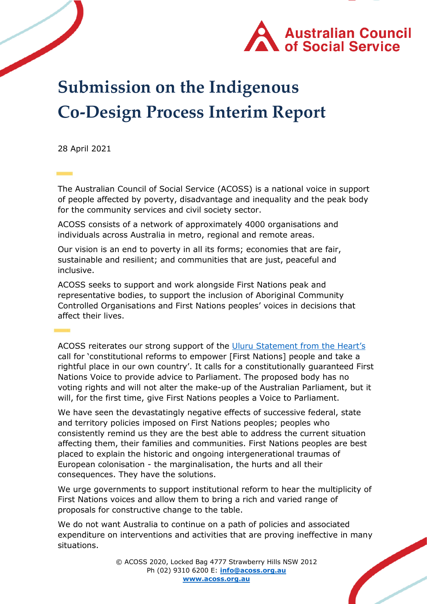

# **Submission on the Indigenous Co-Design Process Interim Report**

28 April 2021

The Australian Council of Social Service (ACOSS) is a national voice in support of people affected by poverty, disadvantage and inequality and the peak body for the community services and civil society sector.

ACOSS consists of a network of approximately 4000 organisations and individuals across Australia in metro, regional and remote areas.

Our vision is an end to poverty in all its forms; economies that are fair, sustainable and resilient; and communities that are just, peaceful and inclusive.

ACOSS seeks to support and work alongside First Nations peak and representative bodies, to support the inclusion of Aboriginal Community Controlled Organisations and First Nations peoples' voices in decisions that affect their lives.

ACOSS reiterates our strong support of the [Uluru Statement from the Heart](https://ulurustatement.org/the-statement)'s call for 'constitutional reforms to empower [First Nations] people and take a rightful place in our own country'. It calls for a constitutionally guaranteed First Nations Voice to provide advice to Parliament. The proposed body has no voting rights and will not alter the make-up of the Australian Parliament, but it will, for the first time, give First Nations peoples a Voice to Parliament.

We have seen the devastatingly negative effects of successive federal, state and territory policies imposed on First Nations peoples; peoples who consistently remind us they are the best able to address the current situation affecting them, their families and communities. First Nations peoples are best placed to explain the historic and ongoing intergenerational traumas of European colonisation - the marginalisation, the hurts and all their consequences. They have the solutions.

We urge governments to support institutional reform to hear the multiplicity of First Nations voices and allow them to bring a rich and varied range of proposals for constructive change to the table.

We do not want Australia to continue on a path of policies and associated expenditure on interventions and activities that are proving ineffective in many situations.

> © ACOSS 2020, Locked Bag 4777 Strawberry Hills NSW 2012 Ph (02) 9310 6200 E: **[info@acoss.org.au](mailto:info@acoss.org.au) [www.acoss.org.au](http://www.acoss.org.au/)**